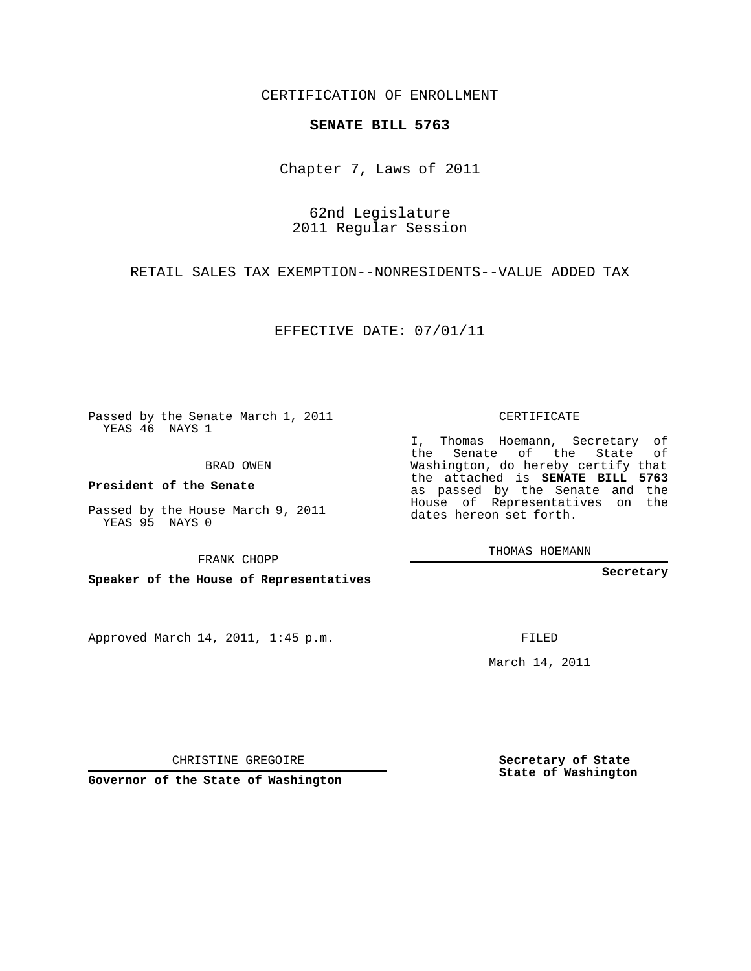CERTIFICATION OF ENROLLMENT

#### **SENATE BILL 5763**

Chapter 7, Laws of 2011

## 62nd Legislature 2011 Regular Session

### RETAIL SALES TAX EXEMPTION--NONRESIDENTS--VALUE ADDED TAX

### EFFECTIVE DATE: 07/01/11

Passed by the Senate March 1, 2011 YEAS 46 NAYS 1

BRAD OWEN

**President of the Senate**

Passed by the House March 9, 2011 YEAS 95 NAYS 0

FRANK CHOPP

**Speaker of the House of Representatives**

Approved March 14, 2011, 1:45 p.m.

CERTIFICATE

I, Thomas Hoemann, Secretary of the Senate of the State of Washington, do hereby certify that the attached is **SENATE BILL 5763** as passed by the Senate and the House of Representatives on the dates hereon set forth.

THOMAS HOEMANN

**Secretary**

FILED

March 14, 2011

**Secretary of State State of Washington**

CHRISTINE GREGOIRE

**Governor of the State of Washington**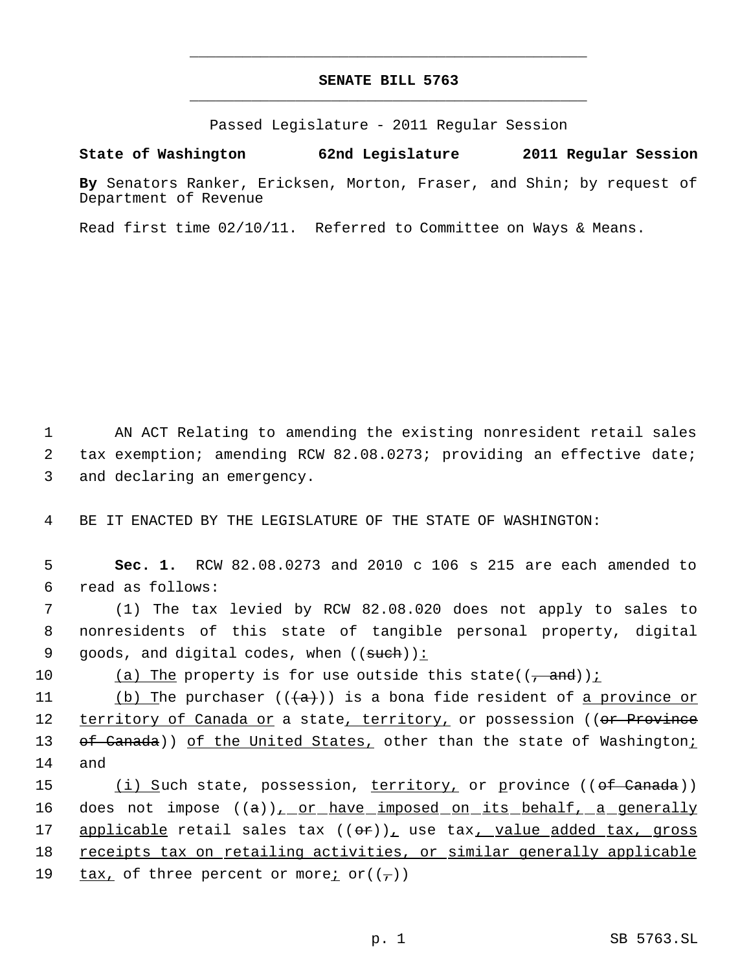# **SENATE BILL 5763** \_\_\_\_\_\_\_\_\_\_\_\_\_\_\_\_\_\_\_\_\_\_\_\_\_\_\_\_\_\_\_\_\_\_\_\_\_\_\_\_\_\_\_\_\_

\_\_\_\_\_\_\_\_\_\_\_\_\_\_\_\_\_\_\_\_\_\_\_\_\_\_\_\_\_\_\_\_\_\_\_\_\_\_\_\_\_\_\_\_\_

Passed Legislature - 2011 Regular Session

**State of Washington 62nd Legislature 2011 Regular Session**

**By** Senators Ranker, Ericksen, Morton, Fraser, and Shin; by request of Department of Revenue

Read first time 02/10/11. Referred to Committee on Ways & Means.

 1 AN ACT Relating to amending the existing nonresident retail sales 2 tax exemption; amending RCW 82.08.0273; providing an effective date; 3 and declaring an emergency.

4 BE IT ENACTED BY THE LEGISLATURE OF THE STATE OF WASHINGTON:

 5 **Sec. 1.** RCW 82.08.0273 and 2010 c 106 s 215 are each amended to 6 read as follows:

 7 (1) The tax levied by RCW 82.08.020 does not apply to sales to 8 nonresidents of this state of tangible personal property, digital 9 goods, and digital codes, when  $((\text{such})\)$ :

10 (a) The property is for use outside this state( $(\frac{1}{2}$  and));

11 (b) The purchaser  $((+a))$  is a bona fide resident of <u>a province or</u> 12 territory of Canada or a state, territory, or possession ((or Province 13 of Canada)) of the United States, other than the state of Washington; 14 and

15 (i) Such state, possession, territory, or province ((<del>of Canada</del>)) 16 does not impose  $((a))_{L}$  or have imposed on its behalf, a generally 17 applicable retail sales tax ((or)), use tax, value added tax, gross 18 receipts tax on retailing activities, or similar generally applicable 19  $\frac{\text{tax}}{\text{c}}$  of three percent or more<u>;</u> or( $(\tau)$ )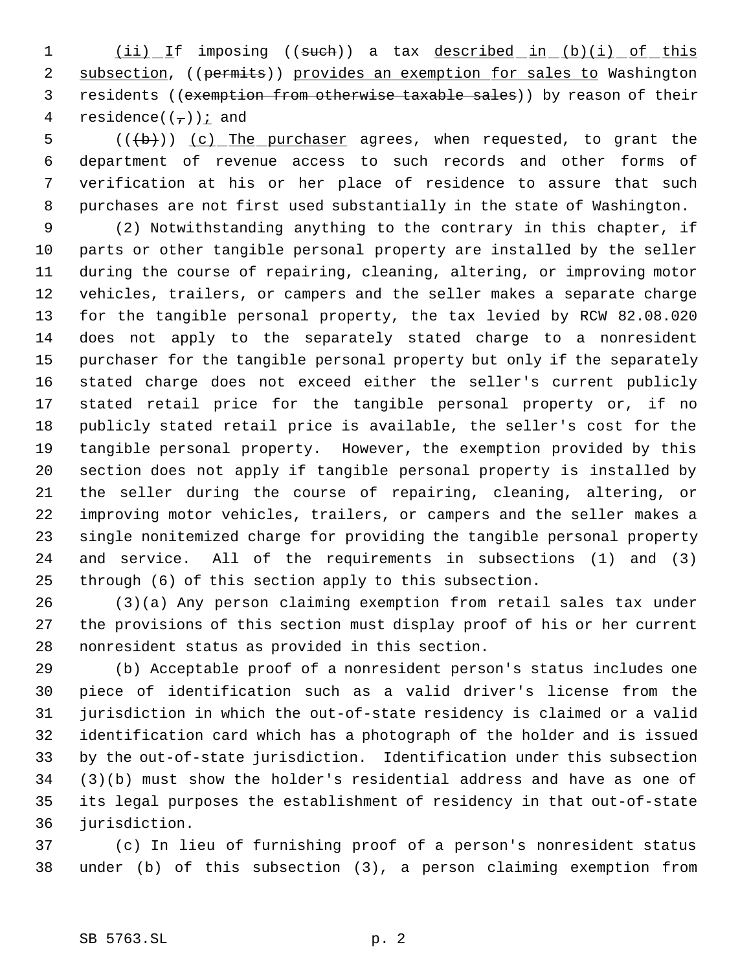1 (ii) If imposing ((such)) a tax described in (b)(i) of this 2 subsection, ((permits)) provides an exemption for sales to Washington 3 residents ((exemption from otherwise taxable sales)) by reason of their 4 residence( $(\tau)$ ) *i* and

 $((+b))$   $(c)$  The purchaser agrees, when requested, to grant the department of revenue access to such records and other forms of verification at his or her place of residence to assure that such purchases are not first used substantially in the state of Washington.

 (2) Notwithstanding anything to the contrary in this chapter, if parts or other tangible personal property are installed by the seller during the course of repairing, cleaning, altering, or improving motor vehicles, trailers, or campers and the seller makes a separate charge for the tangible personal property, the tax levied by RCW 82.08.020 does not apply to the separately stated charge to a nonresident purchaser for the tangible personal property but only if the separately stated charge does not exceed either the seller's current publicly stated retail price for the tangible personal property or, if no publicly stated retail price is available, the seller's cost for the tangible personal property. However, the exemption provided by this section does not apply if tangible personal property is installed by the seller during the course of repairing, cleaning, altering, or improving motor vehicles, trailers, or campers and the seller makes a single nonitemized charge for providing the tangible personal property and service. All of the requirements in subsections (1) and (3) through (6) of this section apply to this subsection.

 (3)(a) Any person claiming exemption from retail sales tax under the provisions of this section must display proof of his or her current nonresident status as provided in this section.

 (b) Acceptable proof of a nonresident person's status includes one piece of identification such as a valid driver's license from the jurisdiction in which the out-of-state residency is claimed or a valid identification card which has a photograph of the holder and is issued by the out-of-state jurisdiction. Identification under this subsection (3)(b) must show the holder's residential address and have as one of its legal purposes the establishment of residency in that out-of-state jurisdiction.

 (c) In lieu of furnishing proof of a person's nonresident status under (b) of this subsection (3), a person claiming exemption from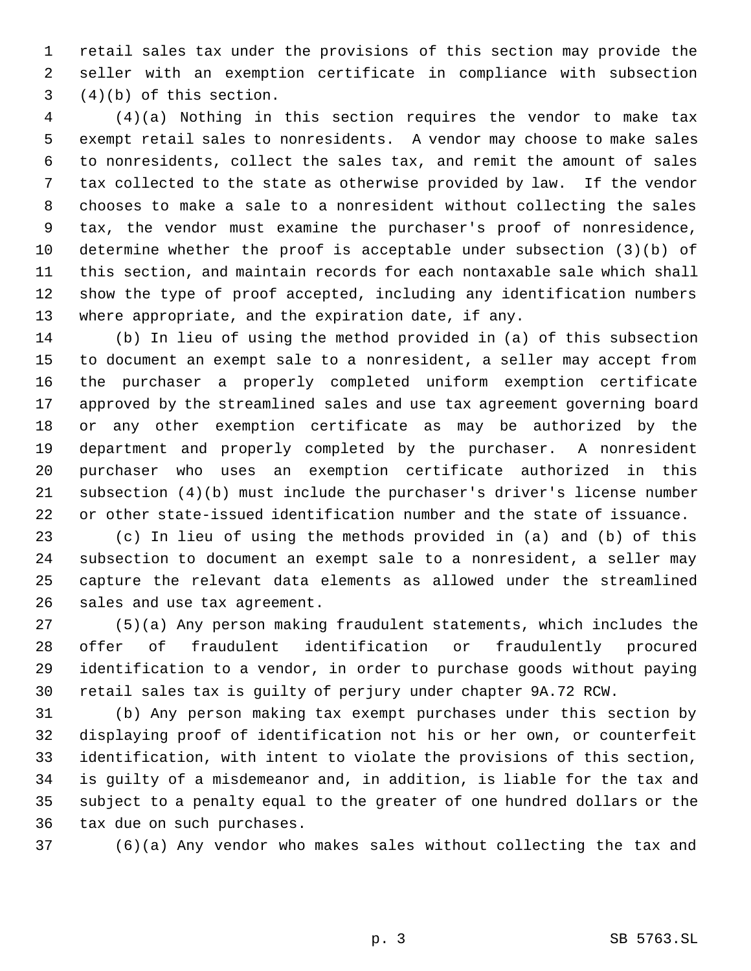retail sales tax under the provisions of this section may provide the seller with an exemption certificate in compliance with subsection (4)(b) of this section.

 (4)(a) Nothing in this section requires the vendor to make tax exempt retail sales to nonresidents. A vendor may choose to make sales to nonresidents, collect the sales tax, and remit the amount of sales tax collected to the state as otherwise provided by law. If the vendor chooses to make a sale to a nonresident without collecting the sales tax, the vendor must examine the purchaser's proof of nonresidence, determine whether the proof is acceptable under subsection (3)(b) of this section, and maintain records for each nontaxable sale which shall show the type of proof accepted, including any identification numbers where appropriate, and the expiration date, if any.

 (b) In lieu of using the method provided in (a) of this subsection to document an exempt sale to a nonresident, a seller may accept from the purchaser a properly completed uniform exemption certificate approved by the streamlined sales and use tax agreement governing board or any other exemption certificate as may be authorized by the department and properly completed by the purchaser. A nonresident purchaser who uses an exemption certificate authorized in this subsection (4)(b) must include the purchaser's driver's license number or other state-issued identification number and the state of issuance.

 (c) In lieu of using the methods provided in (a) and (b) of this subsection to document an exempt sale to a nonresident, a seller may capture the relevant data elements as allowed under the streamlined sales and use tax agreement.

 (5)(a) Any person making fraudulent statements, which includes the offer of fraudulent identification or fraudulently procured identification to a vendor, in order to purchase goods without paying retail sales tax is guilty of perjury under chapter 9A.72 RCW.

 (b) Any person making tax exempt purchases under this section by displaying proof of identification not his or her own, or counterfeit identification, with intent to violate the provisions of this section, is guilty of a misdemeanor and, in addition, is liable for the tax and subject to a penalty equal to the greater of one hundred dollars or the tax due on such purchases.

(6)(a) Any vendor who makes sales without collecting the tax and